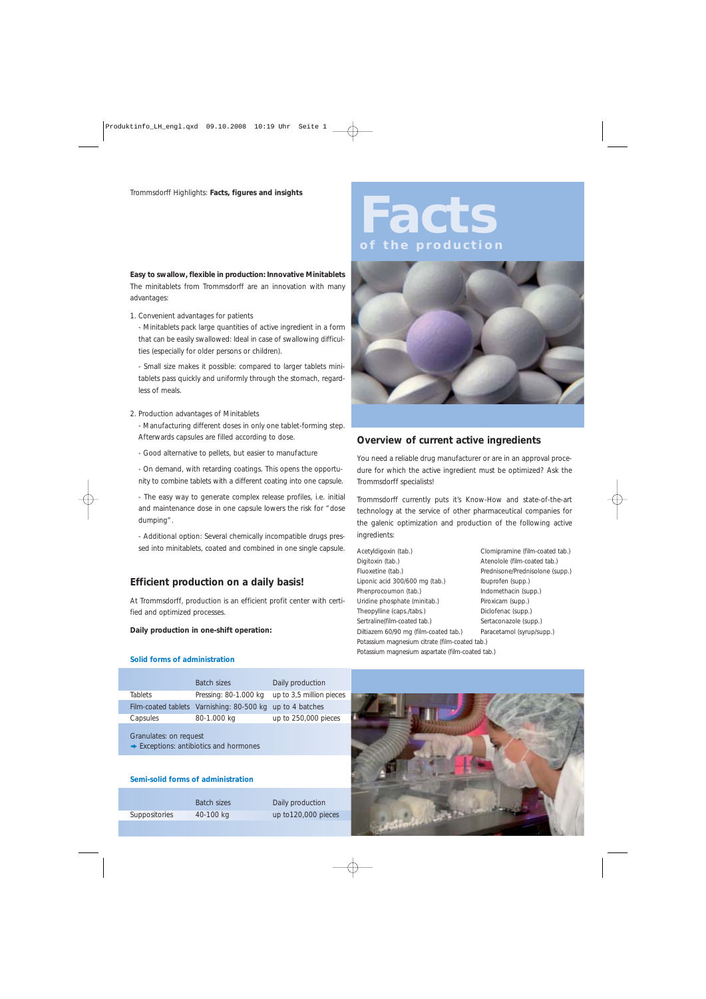### **Easy to swallow, flexible in production: Innovative Minitablets** The minitablets from Trommsdorff are an innovation with many advantages:

### 1. *Convenient advantages for patients*

*-* Minitablets pack large quantities of active ingredient in a form that can be easily swallowed: Ideal in case of swallowing difficulties (especially for older persons or children).

- Small size makes it possible: compared to larger tablets minitablets pass quickly and uniformly through the stomach, regardless of meals.

### 2. *Production advantages of Minitablets*

- Manufacturing different doses in only one tablet-forming step. Afterwards capsules are filled according to dose.

- Good alternative to pellets, but easier to manufacture
- On demand, with retarding coatings. This opens the opportunity to combine tablets with a different coating into one capsule.

- The easy way to generate complex release profiles, i.e. initial and maintenance dose in one capsule lowers the risk for "dose dumping".

- Additional option: Several chemically incompatible drugs pressed into minitablets, coated and combined in one single capsule.

## **Efficient production on a daily basis!**

*At Trommsdorff, production is an efficient profit center with certified and optimized processes.* 

### **Daily production in one-shift operation:**

### **Solid forms of administration**

|                                                                              | <b>Batch sizes</b>                                        | Daily production         |
|------------------------------------------------------------------------------|-----------------------------------------------------------|--------------------------|
| <b>Tablets</b>                                                               | Pressing: 80-1.000 kg                                     | up to 3,5 million pieces |
|                                                                              | Film-coated tablets Varnishing: 80-500 kg up to 4 batches |                          |
| Capsules                                                                     | 80-1.000 kg                                               | up to 250,000 pieces     |
| Granulates: on request<br>$\rightarrow$ Exceptions: antibiotics and hormones |                                                           |                          |

#### **Semi-solid forms of administration**

*Batch sizes Daily production* Suppositories 40-100 kg up to120,000 pieces

# **Facts of the production**



## **Overview of current active ingredients**

*You need a reliable drug manufacturer or are in an approval procedure for which the active ingredient must be optimized? Ask the Trommsdorff specialists!*

Trommsdorff currently puts it's Know-How and state-of-the-art technology at the service of other pharmaceutical companies for the galenic optimization and production of the following active ingredients:

Acetyldigoxin (tab.) Clomipramine (film-coated tab.) Digitoxin (tab.) <br>
Atenolole (film-coated tab.) Fluoxetine (tab.) Prednisone/Prednisolone (supp.) Liponic acid 300/600 mg (tab.) Ibuprofen (supp.) Phenprocoumon (tab.) Indomethacin (supp.) Uridine phosphate (minitab.) Piroxicam (supp.) Theopylline (caps./tabs.) Diclofenac (supp.) Sertraline(film-coated tab.) Sertaconazole (supp.) Diltiazem 60/90 mg (film-coated tab.) Paracetamol (syrup/supp.) Potassium magnesium citrate (film-coated tab.)

Potassium magnesium aspartate (film-coated tab.)